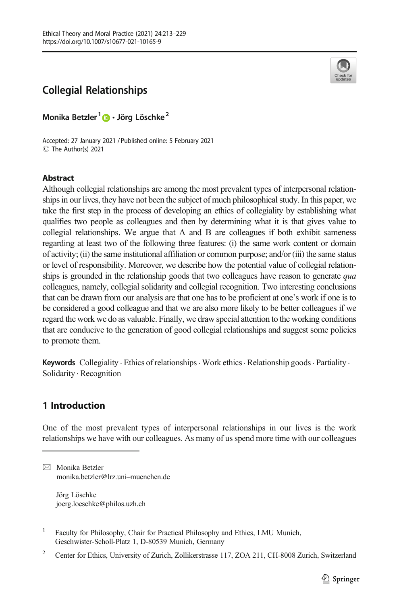

Monika Betzler<sup>1</sup> D · Jörg Löschke<sup>2</sup>

Accepted: 27 January 2021 /Published online: 5 February 2021 C The Author(s) 2021

## Abstract

Although collegial relationships are among the most prevalent types of interpersonal relationships in our lives, they have not been the subject of much philosophical study. In this paper, we take the first step in the process of developing an ethics of collegiality by establishing what qualifies two people as colleagues and then by determining what it is that gives value to collegial relationships. We argue that A and B are colleagues if both exhibit sameness regarding at least two of the following three features: (i) the same work content or domain of activity; (ii) the same institutional affiliation or common purpose; and/or (iii) the same status or level of responsibility. Moreover, we describe how the potential value of collegial relationships is grounded in the relationship goods that two colleagues have reason to generate qua colleagues, namely, collegial solidarity and collegial recognition. Two interesting conclusions that can be drawn from our analysis are that one has to be proficient at one's work if one is to be considered a good colleague and that we are also more likely to be better colleagues if we regard the work we do as valuable. Finally, we draw special attention to the working conditions that are conducive to the generation of good collegial relationships and suggest some policies to promote them.

Keywords Collegiality · Ethics of relationships · Work ethics · Relationship goods · Partiality · Solidarity . Recognition

# 1 Introduction

One of the most prevalent types of interpersonal relationships in our lives is the work relationships we have with our colleagues. As many of us spend more time with our colleagues

Jörg Löschke joerg.loeschke@philos.uzh.ch

<sup>1</sup> Faculty for Philosophy, Chair for Practical Philosophy and Ethics, LMU Munich, Geschwister-Scholl-Platz 1, D-80539 Munich, Germany



 $\boxtimes$  Monika Betzler [monika.betzler@lrz.uni](mailto:monika.betzler@lrz.uni-muenchen.de)–muenchen.de

<sup>&</sup>lt;sup>2</sup> Center for Ethics, University of Zurich, Zollikerstrasse 117, ZOA 211, CH-8008 Zurich, Switzerland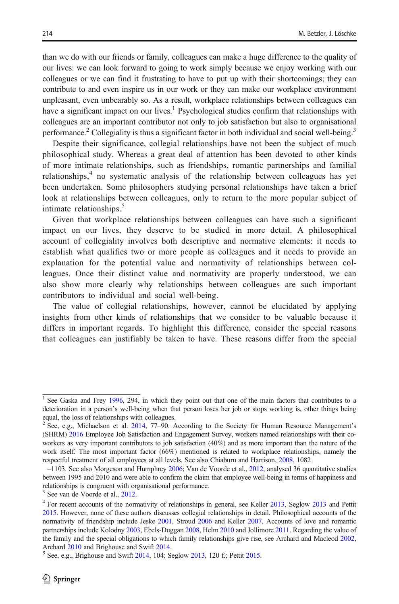than we do with our friends or family, colleagues can make a huge difference to the quality of our lives: we can look forward to going to work simply because we enjoy working with our colleagues or we can find it frustrating to have to put up with their shortcomings; they can contribute to and even inspire us in our work or they can make our workplace environment unpleasant, even unbearably so. As a result, workplace relationships between colleagues can have a significant impact on our lives.<sup>1</sup> Psychological studies confirm that relationships with colleagues are an important contributor not only to job satisfaction but also to organisational performance.<sup>2</sup> Collegiality is thus a significant factor in both individual and social well-being.<sup>3</sup>

Despite their significance, collegial relationships have not been the subject of much philosophical study. Whereas a great deal of attention has been devoted to other kinds of more intimate relationships, such as friendships, romantic partnerships and familial relationships, $4\degree$  no systematic analysis of the relationship between colleagues has yet been undertaken. Some philosophers studying personal relationships have taken a brief look at relationships between colleagues, only to return to the more popular subject of intimate relationships.<sup>5</sup>

Given that workplace relationships between colleagues can have such a significant impact on our lives, they deserve to be studied in more detail. A philosophical account of collegiality involves both descriptive and normative elements: it needs to establish what qualifies two or more people as colleagues and it needs to provide an explanation for the potential value and normativity of relationships between colleagues. Once their distinct value and normativity are properly understood, we can also show more clearly why relationships between colleagues are such important contributors to individual and social well-being.

The value of collegial relationships, however, cannot be elucidated by applying insights from other kinds of relationships that we consider to be valuable because it differs in important regards. To highlight this difference, consider the special reasons that colleagues can justifiably be taken to have. These reasons differ from the special

<sup>&</sup>lt;sup>1</sup> See Gaska and Frey [1996](#page-15-0), 294, in which they point out that one of the main factors that contributes to a deterioration in a person's well-being when that person loses her job or stops working is, other things being equal, the loss of relationships with colleagues.

<sup>&</sup>lt;sup>2</sup> See, e.g., Michaelson et al. [2014](#page-15-0), 77-90. According to the Society for Human Resource Management's (SHRM) [2016](#page-15-0) Employee Job Satisfaction and Engagement Survey, workers named relationships with their coworkers as very important contributors to job satisfaction (40%) and as more important than the nature of the work itself. The most important factor (66%) mentioned is related to workplace relationships, namely the respectful treatment of all employees at all levels. See also Chiaburu and Harrison, [2008,](#page-14-0) 1082

<sup>–</sup>1103. See also Morgeson and Humphrey [2006](#page-15-0); Van de Voorde et al., [2012](#page-16-0), analysed 36 quantitative studies between 1995 and 2010 and were able to confirm the claim that employee well-being in terms of happiness and relationships is congruent with organisational performance.

<sup>3</sup> See van de Voorde et al., [2012.](#page-16-0)

<sup>&</sup>lt;sup>4</sup> For recent accounts of the normativity of relationships in general, see Keller [2013](#page-15-0), Seglow 2013 and Pettit [2015](#page-15-0). However, none of these authors discusses collegial relationships in detail. Philosophical accounts of the normativity of friendship include Jeske [2001,](#page-15-0) Stroud [2006](#page-15-0) and Keller [2007](#page-15-0). Accounts of love and romantic partnerships include Kolodny [2003,](#page-15-0) Ebels-Duggan [2008,](#page-15-0) Helm [2010](#page-15-0) and Jollimore [2011.](#page-15-0) Regarding the value of the family and the special obligations to which family relationships give rise, see Archard and Macleod [2002,](#page-14-0) Archard [2010](#page-14-0) and Brighouse and Swift [2014](#page-14-0).<br><sup>5</sup> See, e.g., Brighouse and Swift 2014, 104; Seglow [2013,](#page-15-0) 120 f.; Pettit [2015.](#page-15-0)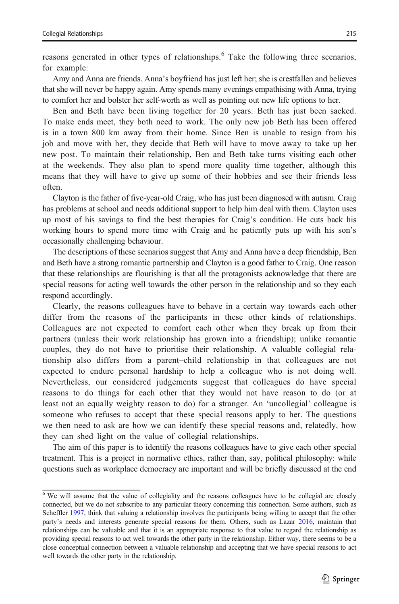reasons generated in other types of relationships.<sup>6</sup> Take the following three scenarios, for example:

Amy and Anna are friends. Anna's boyfriend has just left her; she is crestfallen and believes that she will never be happy again. Amy spends many evenings empathising with Anna, trying to comfort her and bolster her self-worth as well as pointing out new life options to her.

Ben and Beth have been living together for 20 years. Beth has just been sacked. To make ends meet, they both need to work. The only new job Beth has been offered is in a town 800 km away from their home. Since Ben is unable to resign from his job and move with her, they decide that Beth will have to move away to take up her new post. To maintain their relationship, Ben and Beth take turns visiting each other at the weekends. They also plan to spend more quality time together, although this means that they will have to give up some of their hobbies and see their friends less often.

Clayton is the father of five-year-old Craig, who has just been diagnosed with autism. Craig has problems at school and needs additional support to help him deal with them. Clayton uses up most of his savings to find the best therapies for Craig's condition. He cuts back his working hours to spend more time with Craig and he patiently puts up with his son's occasionally challenging behaviour.

The descriptions of these scenarios suggest that Amy and Anna have a deep friendship, Ben and Beth have a strong romantic partnership and Clayton is a good father to Craig. One reason that these relationships are flourishing is that all the protagonists acknowledge that there are special reasons for acting well towards the other person in the relationship and so they each respond accordingly.

Clearly, the reasons colleagues have to behave in a certain way towards each other differ from the reasons of the participants in these other kinds of relationships. Colleagues are not expected to comfort each other when they break up from their partners (unless their work relationship has grown into a friendship); unlike romantic couples, they do not have to prioritise their relationship. A valuable collegial relationship also differs from a parent–child relationship in that colleagues are not expected to endure personal hardship to help a colleague who is not doing well. Nevertheless, our considered judgements suggest that colleagues do have special reasons to do things for each other that they would not have reason to do (or at least not an equally weighty reason to do) for a stranger. An 'uncollegial' colleague is someone who refuses to accept that these special reasons apply to her. The questions we then need to ask are how we can identify these special reasons and, relatedly, how they can shed light on the value of collegial relationships.

The aim of this paper is to identify the reasons colleagues have to give each other special treatment. This is a project in normative ethics, rather than, say, political philosophy: while questions such as workplace democracy are important and will be briefly discussed at the end

<sup>&</sup>lt;sup>6</sup> We will assume that the value of collegiality and the reasons colleagues have to be collegial are closely connected, but we do not subscribe to any particular theory concerning this connection. Some authors, such as Scheffler [1997,](#page-15-0) think that valuing a relationship involves the participants being willing to accept that the other party's needs and interests generate special reasons for them. Others, such as Lazar [2016,](#page-15-0) maintain that relationships can be valuable and that it is an appropriate response to that value to regard the relationship as providing special reasons to act well towards the other party in the relationship. Either way, there seems to be a close conceptual connection between a valuable relationship and accepting that we have special reasons to act well towards the other party in the relationship.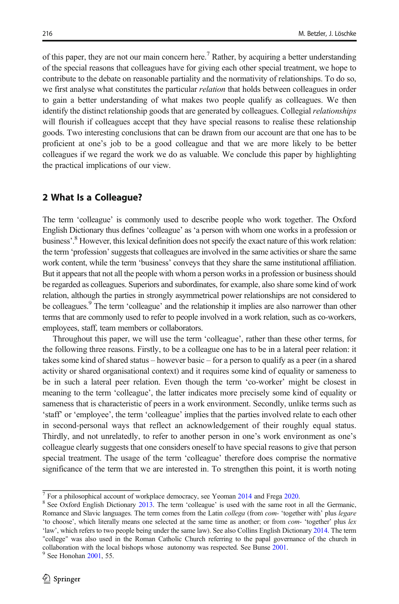of this paper, they are not our main concern here.<sup>7</sup> Rather, by acquiring a better understanding of the special reasons that colleagues have for giving each other special treatment, we hope to contribute to the debate on reasonable partiality and the normativity of relationships. To do so, we first analyse what constitutes the particular *relation* that holds between colleagues in order to gain a better understanding of what makes two people qualify as colleagues. We then identify the distinct relationship goods that are generated by colleagues. Collegial relationships will flourish if colleagues accept that they have special reasons to realise these relationship goods. Two interesting conclusions that can be drawn from our account are that one has to be proficient at one's job to be a good colleague and that we are more likely to be better colleagues if we regard the work we do as valuable. We conclude this paper by highlighting the practical implications of our view.

#### 2 What Is a Colleague?

The term 'colleague' is commonly used to describe people who work together. The Oxford English Dictionary thus defines 'colleague' as 'a person with whom one works in a profession or business'. <sup>8</sup> However, this lexical definition does not specify the exact nature of this work relation: the term 'profession'suggests that colleagues are involved in the same activities or share the same work content, while the term 'business' conveys that they share the same institutional affiliation. But it appears that not all the people with whom a person works in a profession or business should be regarded as colleagues. Superiors and subordinates, for example, also share some kind of work relation, although the parties in strongly asymmetrical power relationships are not considered to be colleagues.<sup>9</sup> The term 'colleague' and the relationship it implies are also narrower than other terms that are commonly used to refer to people involved in a work relation, such as co-workers, employees, staff, team members or collaborators.

Throughout this paper, we will use the term 'colleague', rather than these other terms, for the following three reasons. Firstly, to be a colleague one has to be in a lateral peer relation: it takes some kind of shared status – however basic – for a person to qualify as a peer (in a shared activity or shared organisational context) and it requires some kind of equality or sameness to be in such a lateral peer relation. Even though the term 'co-worker' might be closest in meaning to the term 'colleague', the latter indicates more precisely some kind of equality or sameness that is characteristic of peers in a work environment. Secondly, unlike terms such as 'staff' or 'employee', the term 'colleague' implies that the parties involved relate to each other in second-personal ways that reflect an acknowledgement of their roughly equal status. Thirdly, and not unrelatedly, to refer to another person in one's work environment as one's colleague clearly suggests that one considers oneself to have special reasons to give that person special treatment. The usage of the term 'colleague' therefore does comprise the normative significance of the term that we are interested in. To strengthen this point, it is worth noting

 $\frac{7}{7}$  For a philosophical account of workplace democracy, see Yeoman [2014](#page-16-0) and Frega [2020.](#page-15-0)  $\frac{8}{7}$  See Oxford English Dictionary [2013](#page-15-0). The term 'colleague' is used with the same root in all the Germanic, Romance and Slavic languages. The term comes from the Latin *collega* (from *com*- 'together with' plus *legare* 'to choose', which literally means one selected at the same time as another; or from com- 'together' plus lex 'law', which refers to two people being under the same law). See also Collins English Dictionary [2014.](#page-15-0) The term "college" was also used in the Roman Catholic Church referring to the papal governance of the church in collaboration with the local bishops whose autonomy was respected. See Bunse [2001.](#page-14-0)<br><sup>9</sup> See Honohan [2001,](#page-15-0) 55.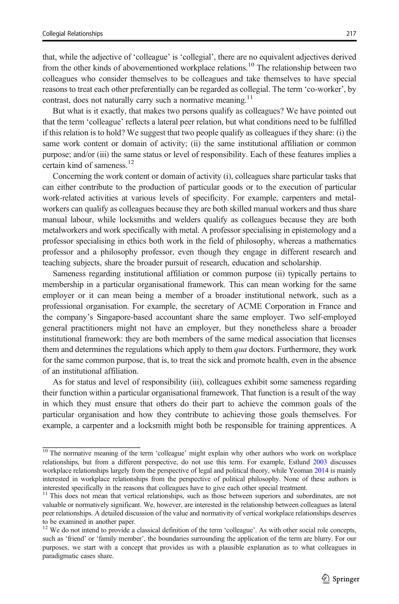that, while the adjective of 'colleague' is 'collegial', there are no equivalent adjectives derived from the other kinds of abovementioned workplace relations.<sup>10</sup> The relationship between two colleagues who consider themselves to be colleagues and take themselves to have special reasons to treat each other preferentially can be regarded as collegial. The term 'co-worker', by contrast, does not naturally carry such a normative meaning.<sup>11</sup>

But what is it exactly, that makes two persons qualify as colleagues? We have pointed out that the term 'colleague' reflects a lateral peer relation, but what conditions need to be fulfilled if this relation is to hold? We suggest that two people qualify as colleagues if they share: (i) the same work content or domain of activity; (ii) the same institutional affiliation or common purpose; and/or (iii) the same status or level of responsibility. Each of these features implies a certain kind of sameness.<sup>12</sup>

Concerning the work content or domain of activity (i), colleagues share particular tasks that can either contribute to the production of particular goods or to the execution of particular work-related activities at various levels of specificity. For example, carpenters and metalworkers can qualify as colleagues because they are both skilled manual workers and thus share manual labour, while locksmiths and welders qualify as colleagues because they are both metalworkers and work specifically with metal. A professor specialising in epistemology and a professor specialising in ethics both work in the field of philosophy, whereas a mathematics professor and a philosophy professor, even though they engage in different research and teaching subjects, share the broader pursuit of research, education and scholarship.

Sameness regarding institutional affiliation or common purpose (ii) typically pertains to membership in a particular organisational framework. This can mean working for the same employer or it can mean being a member of a broader institutional network, such as a professional organisation. For example, the secretary of ACME Corporation in France and the company's Singapore-based accountant share the same employer. Two self-employed general practitioners might not have an employer, but they nonetheless share a broader institutional framework: they are both members of the same medical association that licenses them and determines the regulations which apply to them *qua* doctors. Furthermore, they work for the same common purpose, that is, to treat the sick and promote health, even in the absence of an institutional affiliation.

As for status and level of responsibility (iii), colleagues exhibit some sameness regarding their function within a particular organisational framework. That function is a result of the way in which they must ensure that others do their part to achieve the common goals of the particular organisation and how they contribute to achieving those goals themselves. For example, a carpenter and a locksmith might both be responsible for training apprentices. A

 $\frac{10}{10}$  The normative meaning of the term 'colleague' might explain why other authors who work on workplace relationships, but from a different perspective, do not use this term. For example, Estlund [2003](#page-15-0) discusses workplace relationships largely from the perspective of legal and political theory, while Yeoman [2014](#page-16-0) is mainly interested in workplace relationships from the perspective of political philosophy. None of these authors is interested specifically in the reasons that colleagues have to give each other special treatment.

<sup>&</sup>lt;sup>11</sup> This does not mean that vertical relationships, such as those between superiors and subordinates, are not valuable or normatively significant. We, however, are interested in the relationship between colleagues as lateral peer relationships. A detailed discussion of the value and normativity of vertical workplace relationships deserves to be examined in another paper.

We do not intend to provide a classical definition of the term 'colleague'. As with other social role concepts, such as 'friend' or 'family member', the boundaries surrounding the application of the term are blurry. For our purposes, we start with a concept that provides us with a plausible explanation as to what colleagues in paradigmatic cases share.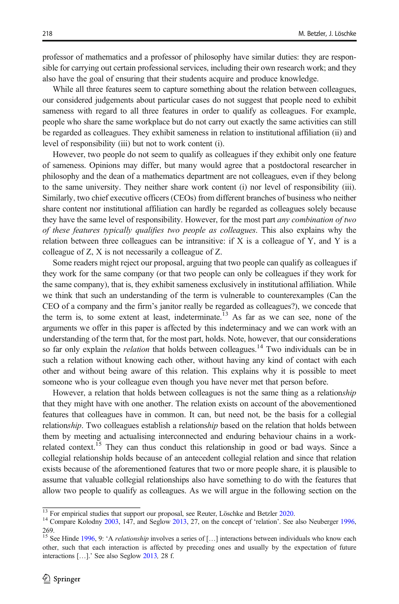professor of mathematics and a professor of philosophy have similar duties: they are responsible for carrying out certain professional services, including their own research work; and they also have the goal of ensuring that their students acquire and produce knowledge.

While all three features seem to capture something about the relation between colleagues, our considered judgements about particular cases do not suggest that people need to exhibit sameness with regard to all three features in order to qualify as colleagues. For example, people who share the same workplace but do not carry out exactly the same activities can still be regarded as colleagues. They exhibit sameness in relation to institutional affiliation (ii) and level of responsibility (iii) but not to work content (i).

However, two people do not seem to qualify as colleagues if they exhibit only one feature of sameness. Opinions may differ, but many would agree that a postdoctoral researcher in philosophy and the dean of a mathematics department are not colleagues, even if they belong to the same university. They neither share work content (i) nor level of responsibility (iii). Similarly, two chief executive officers (CEOs) from different branches of business who neither share content nor institutional affiliation can hardly be regarded as colleagues solely because they have the same level of responsibility. However, for the most part any combination of two of these features typically qualifies two people as colleagues. This also explains why the relation between three colleagues can be intransitive: if  $X$  is a colleague of  $Y$ , and  $Y$  is a colleague of Z, X is not necessarily a colleague of Z.

Some readers might reject our proposal, arguing that two people can qualify as colleagues if they work for the same company (or that two people can only be colleagues if they work for the same company), that is, they exhibit sameness exclusively in institutional affiliation. While we think that such an understanding of the term is vulnerable to counterexamples (Can the CEO of a company and the firm's janitor really be regarded as colleagues?), we concede that the term is, to some extent at least, indeterminate.<sup>13</sup> As far as we can see, none of the arguments we offer in this paper is affected by this indeterminacy and we can work with an understanding of the term that, for the most part, holds. Note, however, that our considerations so far only explain the *relation* that holds between colleagues.<sup>14</sup> Two individuals can be in such a relation without knowing each other, without having any kind of contact with each other and without being aware of this relation. This explains why it is possible to meet someone who is your colleague even though you have never met that person before.

However, a relation that holds between colleagues is not the same thing as a relationship that they might have with one another. The relation exists on account of the abovementioned features that colleagues have in common. It can, but need not, be the basis for a collegial relationship. Two colleagues establish a relationship based on the relation that holds between them by meeting and actualising interconnected and enduring behaviour chains in a workrelated context.<sup>15</sup> They can thus conduct this relationship in good or bad ways. Since a collegial relationship holds because of an antecedent collegial relation and since that relation exists because of the aforementioned features that two or more people share, it is plausible to assume that valuable collegial relationships also have something to do with the features that allow two people to qualify as colleagues. As we will argue in the following section on the

 $\frac{13}{13}$  For empirical studies that support our proposal, see Reuter, Löschke and Betzler [2020](#page-15-0).<br><sup>14</sup> Compare Kolodny [2003,](#page-15-0) 147, and Seglow [2013,](#page-15-0) 27, on the concept of 'relation'. See also Neuberger [1996,](#page-15-0) 269.

<sup>&</sup>lt;sup>15</sup> See Hinde [1996](#page-15-0), 9: 'A *relationship* involves a series of [...] interactions between individuals who know each other, such that each interaction is affected by preceding ones and usually by the expectation of future interactions […].' See also Seglow [2013](#page-15-0), 28 f.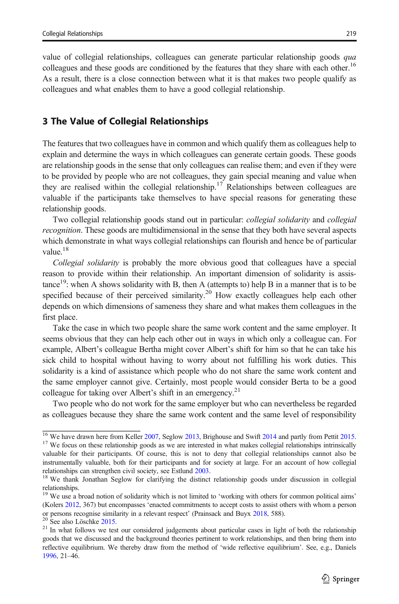value of collegial relationships, colleagues can generate particular relationship goods qua colleagues and these goods are conditioned by the features that they share with each other.<sup>16</sup> As a result, there is a close connection between what it is that makes two people qualify as colleagues and what enables them to have a good collegial relationship.

## 3 The Value of Collegial Relationships

The features that two colleagues have in common and which qualify them as colleagues help to explain and determine the ways in which colleagues can generate certain goods. These goods are relationship goods in the sense that only colleagues can realise them; and even if they were to be provided by people who are not colleagues, they gain special meaning and value when they are realised within the collegial relationship.<sup>17</sup> Relationships between colleagues are valuable if the participants take themselves to have special reasons for generating these relationship goods.

Two collegial relationship goods stand out in particular: collegial solidarity and collegial recognition. These goods are multidimensional in the sense that they both have several aspects which demonstrate in what ways collegial relationships can flourish and hence be of particular value $^{18}$ 

Collegial solidarity is probably the more obvious good that colleagues have a special reason to provide within their relationship. An important dimension of solidarity is assistance<sup>19</sup>: when A shows solidarity with B, then A (attempts to) help B in a manner that is to be specified because of their perceived similarity.<sup>20</sup> How exactly colleagues help each other depends on which dimensions of sameness they share and what makes them colleagues in the first place.

Take the case in which two people share the same work content and the same employer. It seems obvious that they can help each other out in ways in which only a colleague can. For example, Albert's colleague Bertha might cover Albert's shift for him so that he can take his sick child to hospital without having to worry about not fulfilling his work duties. This solidarity is a kind of assistance which people who do not share the same work content and the same employer cannot give. Certainly, most people would consider Berta to be a good colleague for taking over Albert's shift in an emergency.<sup>21</sup>

Two people who do not work for the same employer but who can nevertheless be regarded as colleagues because they share the same work content and the same level of responsibility

<sup>&</sup>lt;sup>16</sup> We have drawn here from Keller [2007,](#page-15-0) Seglow [2013,](#page-15-0) Brighouse and Swift [2014](#page-14-0) and partly from Pettit [2015.](#page-15-0)<br><sup>17</sup> We focus on these relationship goods as we are interested in what makes collegial relationships intrinsical valuable for their participants. Of course, this is not to deny that collegial relationships cannot also be

instrumentally valuable, both for their participants and for society at large. For an account of how collegial relationships can strengthen civil society, see Estlund [2003](#page-15-0).<br><sup>18</sup> We thank Jonathan Seglow for clarifying the distinct relationship goods under discussion in collegial

relationships. <sup>19</sup> We use a broad notion of solidarity which is not limited to 'working with others for common political aims'

<sup>(</sup>Kolers [2012](#page-15-0), 367) but encompasses 'enacted commitments to accept costs to assist others with whom a person or persons recognise similarity in a relevant respect' (Prainsack and Buyx [2018](#page-15-0), 588). <sup>20</sup> See also Löschke [2015.](#page-15-0)<br><sup>21</sup> In what follows we test our considered judgements about particular cases in light of both the relatio

goods that we discussed and the background theories pertinent to work relationships, and then bring them into reflective equilibrium. We thereby draw from the method of 'wide reflective equilibrium'. See, e.g., Daniels [1996](#page-15-0), 21–46.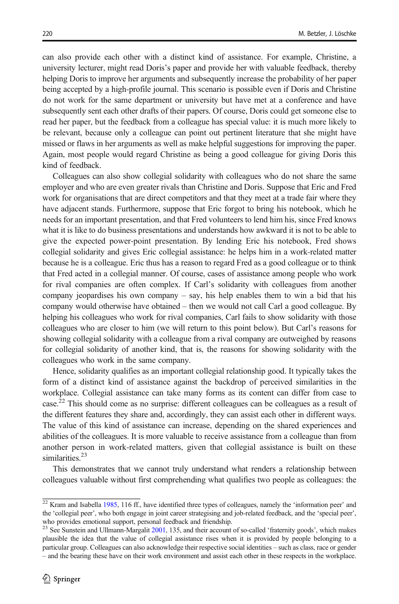can also provide each other with a distinct kind of assistance. For example, Christine, a university lecturer, might read Doris's paper and provide her with valuable feedback, thereby helping Doris to improve her arguments and subsequently increase the probability of her paper being accepted by a high-profile journal. This scenario is possible even if Doris and Christine do not work for the same department or university but have met at a conference and have subsequently sent each other drafts of their papers. Of course, Doris could get someone else to read her paper, but the feedback from a colleague has special value: it is much more likely to be relevant, because only a colleague can point out pertinent literature that she might have missed or flaws in her arguments as well as make helpful suggestions for improving the paper. Again, most people would regard Christine as being a good colleague for giving Doris this kind of feedback.

Colleagues can also show collegial solidarity with colleagues who do not share the same employer and who are even greater rivals than Christine and Doris. Suppose that Eric and Fred work for organisations that are direct competitors and that they meet at a trade fair where they have adjacent stands. Furthermore, suppose that Eric forgot to bring his notebook, which he needs for an important presentation, and that Fred volunteers to lend him his, since Fred knows what it is like to do business presentations and understands how awkward it is not to be able to give the expected power-point presentation. By lending Eric his notebook, Fred shows collegial solidarity and gives Eric collegial assistance: he helps him in a work-related matter because he is a colleague. Eric thus has a reason to regard Fred as a good colleague or to think that Fred acted in a collegial manner. Of course, cases of assistance among people who work for rival companies are often complex. If Carl's solidarity with colleagues from another company jeopardises his own company – say, his help enables them to win a bid that his company would otherwise have obtained – then we would not call Carl a good colleague. By helping his colleagues who work for rival companies, Carl fails to show solidarity with those colleagues who are closer to him (we will return to this point below). But Carl's reasons for showing collegial solidarity with a colleague from a rival company are outweighed by reasons for collegial solidarity of another kind, that is, the reasons for showing solidarity with the colleagues who work in the same company.

Hence, solidarity qualifies as an important collegial relationship good. It typically takes the form of a distinct kind of assistance against the backdrop of perceived similarities in the workplace. Collegial assistance can take many forms as its content can differ from case to case.<sup>22</sup> This should come as no surprise: different colleagues can be colleagues as a result of the different features they share and, accordingly, they can assist each other in different ways. The value of this kind of assistance can increase, depending on the shared experiences and abilities of the colleagues. It is more valuable to receive assistance from a colleague than from another person in work-related matters, given that collegial assistance is built on these similarities $^{23}$ 

This demonstrates that we cannot truly understand what renders a relationship between colleagues valuable without first comprehending what qualifies two people as colleagues: the

<sup>&</sup>lt;sup>22</sup> Kram and Isabella [1985](#page-15-0), 116 ff., have identified three types of colleagues, namely the 'information peer' and the 'collegial peer', who both engage in joint career strategising and job-related feedback, and the 'special peer', who provides emotional support, personal feedback and friendship.<br>
<sup>23</sup> See Support, personal feedback and friendship.

See Sunstein and Ullmann-Margalit [2001,](#page-16-0) 135, and their account of so-called 'fraternity goods', which makes plausible the idea that the value of collegial assistance rises when it is provided by people belonging to a particular group. Colleagues can also acknowledge their respective social identities – such as class, race or gender – and the bearing these have on their work environment and assist each other in these respects in the workplace.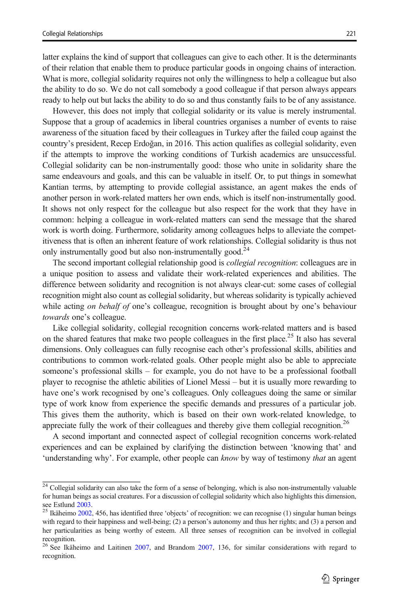latter explains the kind of support that colleagues can give to each other. It is the determinants of their relation that enable them to produce particular goods in ongoing chains of interaction. What is more, collegial solidarity requires not only the willingness to help a colleague but also the ability to do so. We do not call somebody a good colleague if that person always appears ready to help out but lacks the ability to do so and thus constantly fails to be of any assistance.

However, this does not imply that collegial solidarity or its value is merely instrumental. Suppose that a group of academics in liberal countries organises a number of events to raise awareness of the situation faced by their colleagues in Turkey after the failed coup against the country's president, Recep Erdoğan, in 2016. This action qualifies as collegial solidarity, even if the attempts to improve the working conditions of Turkish academics are unsuccessful. Collegial solidarity can be non-instrumentally good: those who unite in solidarity share the same endeavours and goals, and this can be valuable in itself. Or, to put things in somewhat Kantian terms, by attempting to provide collegial assistance, an agent makes the ends of another person in work-related matters her own ends, which is itself non-instrumentally good. It shows not only respect for the colleague but also respect for the work that they have in common: helping a colleague in work-related matters can send the message that the shared work is worth doing. Furthermore, solidarity among colleagues helps to alleviate the competitiveness that is often an inherent feature of work relationships. Collegial solidarity is thus not only instrumentally good but also non-instrumentally good.<sup>24</sup>

The second important collegial relationship good is collegial recognition: colleagues are in a unique position to assess and validate their work-related experiences and abilities. The difference between solidarity and recognition is not always clear-cut: some cases of collegial recognition might also count as collegial solidarity, but whereas solidarity is typically achieved while acting on behalf of one's colleague, recognition is brought about by one's behaviour towards one's colleague.

Like collegial solidarity, collegial recognition concerns work-related matters and is based on the shared features that make two people colleagues in the first place.<sup>25</sup> It also has several dimensions. Only colleagues can fully recognise each other's professional skills, abilities and contributions to common work-related goals. Other people might also be able to appreciate someone's professional skills – for example, you do not have to be a professional football player to recognise the athletic abilities of Lionel Messi – but it is usually more rewarding to have one's work recognised by one's colleagues. Only colleagues doing the same or similar type of work know from experience the specific demands and pressures of a particular job. This gives them the authority, which is based on their own work-related knowledge, to appreciate fully the work of their colleagues and thereby give them collegial recognition.<sup>26</sup>

A second important and connected aspect of collegial recognition concerns work-related experiences and can be explained by clarifying the distinction between 'knowing that' and 'understanding why'. For example, other people can know by way of testimony that an agent

<sup>&</sup>lt;sup>24</sup> Collegial solidarity can also take the form of a sense of belonging, which is also non-instrumentally valuable for human beings as social creatures. For a discussion of collegial solidarity which also highlights this dimension, see Estlund 2003.<br><sup>25</sup> Ikäheimo 2002–456 has identified three inhights that

Ikäheimo [2002](#page-15-0), 456, has identified three 'objects' of recognition: we can recognise (1) singular human beings with regard to their happiness and well-being; (2) a person's autonomy and thus her rights; and (3) a person and her particularities as being worthy of esteem. All three senses of recognition can be involved in collegial recognition.

<sup>&</sup>lt;sup>26</sup> See Ikäheimo and Laitinen [2007](#page-14-0), and Brandom 2007, 136, for similar considerations with regard to recognition.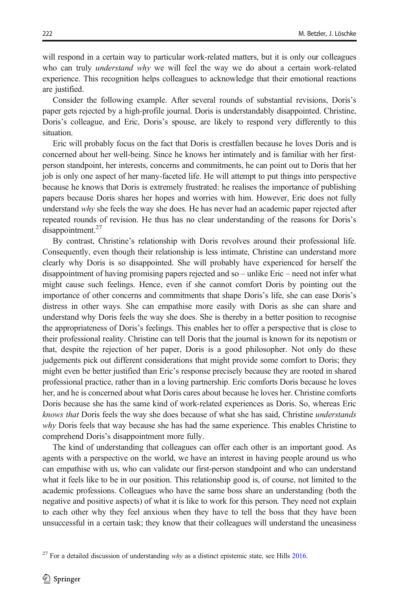will respond in a certain way to particular work-related matters, but it is only our colleagues who can truly *understand why* we will feel the way we do about a certain work-related experience. This recognition helps colleagues to acknowledge that their emotional reactions are justified.

Consider the following example. After several rounds of substantial revisions, Doris's paper gets rejected by a high-profile journal. Doris is understandably disappointed. Christine, Doris's colleague, and Eric, Doris's spouse, are likely to respond very differently to this situation.

Eric will probably focus on the fact that Doris is crestfallen because he loves Doris and is concerned about her well-being. Since he knows her intimately and is familiar with her firstperson standpoint, her interests, concerns and commitments, he can point out to Doris that her job is only one aspect of her many-faceted life. He will attempt to put things into perspective because he knows that Doris is extremely frustrated: he realises the importance of publishing papers because Doris shares her hopes and worries with him. However, Eric does not fully understand why she feels the way she does. He has never had an academic paper rejected after repeated rounds of revision. He thus has no clear understanding of the reasons for Doris's  $disappointment.<sup>27</sup>$ 

By contrast, Christine's relationship with Doris revolves around their professional life. Consequently, even though their relationship is less intimate, Christine can understand more clearly why Doris is so disappointed. She will probably have experienced for herself the disappointment of having promising papers rejected and so – unlike Eric – need not infer what might cause such feelings. Hence, even if she cannot comfort Doris by pointing out the importance of other concerns and commitments that shape Doris's life, she can ease Doris's distress in other ways. She can empathise more easily with Doris as she can share and understand why Doris feels the way she does. She is thereby in a better position to recognise the appropriateness of Doris's feelings. This enables her to offer a perspective that is close to their professional reality. Christine can tell Doris that the journal is known for its nepotism or that, despite the rejection of her paper, Doris is a good philosopher. Not only do these judgements pick out different considerations that might provide some comfort to Doris; they might even be better justified than Eric's response precisely because they are rooted in shared professional practice, rather than in a loving partnership. Eric comforts Doris because he loves her, and he is concerned about what Doris cares about because he loves her. Christine comforts Doris because she has the same kind of work-related experiences as Doris. So, whereas Eric knows that Doris feels the way she does because of what she has said, Christine understands why Doris feels that way because she has had the same experience. This enables Christine to comprehend Doris's disappointment more fully.

The kind of understanding that colleagues can offer each other is an important good. As agents with a perspective on the world, we have an interest in having people around us who can empathise with us, who can validate our first-person standpoint and who can understand what it feels like to be in our position. This relationship good is, of course, not limited to the academic professions. Colleagues who have the same boss share an understanding (both the negative and positive aspects) of what it is like to work for this person. They need not explain to each other why they feel anxious when they have to tell the boss that they have been unsuccessful in a certain task; they know that their colleagues will understand the uneasiness

 $27$  For a detailed discussion of understanding why as a distinct epistemic state, see Hills  $2016$ .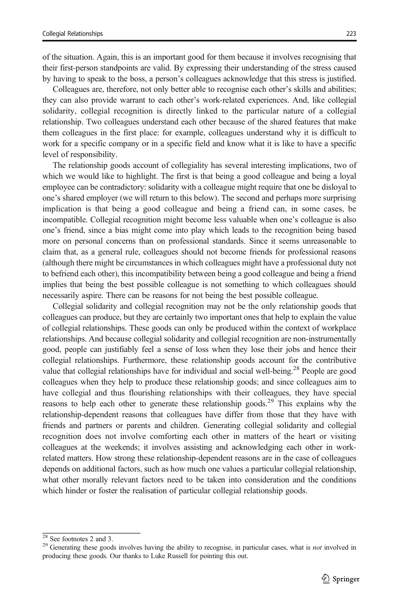of the situation. Again, this is an important good for them because it involves recognising that their first-person standpoints are valid. By expressing their understanding of the stress caused by having to speak to the boss, a person's colleagues acknowledge that this stress is justified.

Colleagues are, therefore, not only better able to recognise each other's skills and abilities; they can also provide warrant to each other's work-related experiences. And, like collegial solidarity, collegial recognition is directly linked to the particular nature of a collegial relationship. Two colleagues understand each other because of the shared features that make them colleagues in the first place: for example, colleagues understand why it is difficult to work for a specific company or in a specific field and know what it is like to have a specific level of responsibility.

The relationship goods account of collegiality has several interesting implications, two of which we would like to highlight. The first is that being a good colleague and being a loyal employee can be contradictory: solidarity with a colleague might require that one be disloyal to one's shared employer (we will return to this below). The second and perhaps more surprising implication is that being a good colleague and being a friend can, in some cases, be incompatible. Collegial recognition might become less valuable when one's colleague is also one's friend, since a bias might come into play which leads to the recognition being based more on personal concerns than on professional standards. Since it seems unreasonable to claim that, as a general rule, colleagues should not become friends for professional reasons (although there might be circumstances in which colleagues might have a professional duty not to befriend each other), this incompatibility between being a good colleague and being a friend implies that being the best possible colleague is not something to which colleagues should necessarily aspire. There can be reasons for not being the best possible colleague.

Collegial solidarity and collegial recognition may not be the only relationship goods that colleagues can produce, but they are certainly two important ones that help to explain the value of collegial relationships. These goods can only be produced within the context of workplace relationships. And because collegial solidarity and collegial recognition are non-instrumentally good, people can justifiably feel a sense of loss when they lose their jobs and hence their collegial relationships. Furthermore, these relationship goods account for the contributive value that collegial relationships have for individual and social well-being.<sup>28</sup> People are good colleagues when they help to produce these relationship goods; and since colleagues aim to have collegial and thus flourishing relationships with their colleagues, they have special reasons to help each other to generate these relationship goods.<sup>29</sup> This explains why the relationship-dependent reasons that colleagues have differ from those that they have with friends and partners or parents and children. Generating collegial solidarity and collegial recognition does not involve comforting each other in matters of the heart or visiting colleagues at the weekends; it involves assisting and acknowledging each other in workrelated matters. How strong these relationship-dependent reasons are in the case of colleagues depends on additional factors, such as how much one values a particular collegial relationship, what other morally relevant factors need to be taken into consideration and the conditions which hinder or foster the realisation of particular collegial relationship goods.

 $\frac{28}{29}$  See footnotes 2 and 3. 29 Generating these goods involves having the ability to recognise, in particular cases, what is *not* involved in producing these goods. Our thanks to Luke Russell for pointing this out.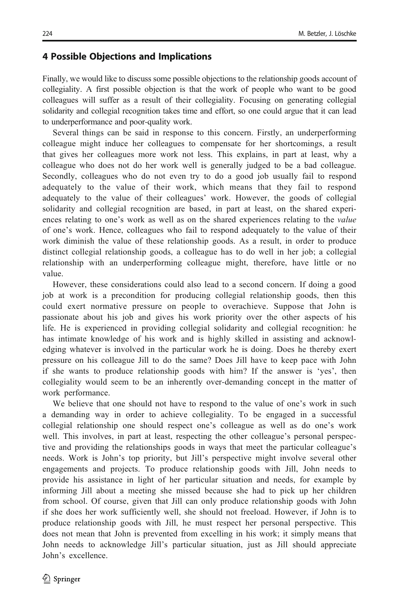### 4 Possible Objections and Implications

Finally, we would like to discuss some possible objections to the relationship goods account of collegiality. A first possible objection is that the work of people who want to be good colleagues will suffer as a result of their collegiality. Focusing on generating collegial solidarity and collegial recognition takes time and effort, so one could argue that it can lead to underperformance and poor-quality work.

Several things can be said in response to this concern. Firstly, an underperforming colleague might induce her colleagues to compensate for her shortcomings, a result that gives her colleagues more work not less. This explains, in part at least, why a colleague who does not do her work well is generally judged to be a bad colleague. Secondly, colleagues who do not even try to do a good job usually fail to respond adequately to the value of their work, which means that they fail to respond adequately to the value of their colleagues' work. However, the goods of collegial solidarity and collegial recognition are based, in part at least, on the shared experiences relating to one's work as well as on the shared experiences relating to the *value* of one's work. Hence, colleagues who fail to respond adequately to the value of their work diminish the value of these relationship goods. As a result, in order to produce distinct collegial relationship goods, a colleague has to do well in her job; a collegial relationship with an underperforming colleague might, therefore, have little or no value.

However, these considerations could also lead to a second concern. If doing a good job at work is a precondition for producing collegial relationship goods, then this could exert normative pressure on people to overachieve. Suppose that John is passionate about his job and gives his work priority over the other aspects of his life. He is experienced in providing collegial solidarity and collegial recognition: he has intimate knowledge of his work and is highly skilled in assisting and acknowledging whatever is involved in the particular work he is doing. Does he thereby exert pressure on his colleague Jill to do the same? Does Jill have to keep pace with John if she wants to produce relationship goods with him? If the answer is 'yes', then collegiality would seem to be an inherently over-demanding concept in the matter of work performance.

We believe that one should not have to respond to the value of one's work in such a demanding way in order to achieve collegiality. To be engaged in a successful collegial relationship one should respect one's colleague as well as do one's work well. This involves, in part at least, respecting the other colleague's personal perspective and providing the relationships goods in ways that meet the particular colleague's needs. Work is John's top priority, but Jill's perspective might involve several other engagements and projects. To produce relationship goods with Jill, John needs to provide his assistance in light of her particular situation and needs, for example by informing Jill about a meeting she missed because she had to pick up her children from school. Of course, given that Jill can only produce relationship goods with John if she does her work sufficiently well, she should not freeload. However, if John is to produce relationship goods with Jill, he must respect her personal perspective. This does not mean that John is prevented from excelling in his work; it simply means that John needs to acknowledge Jill's particular situation, just as Jill should appreciate John's excellence.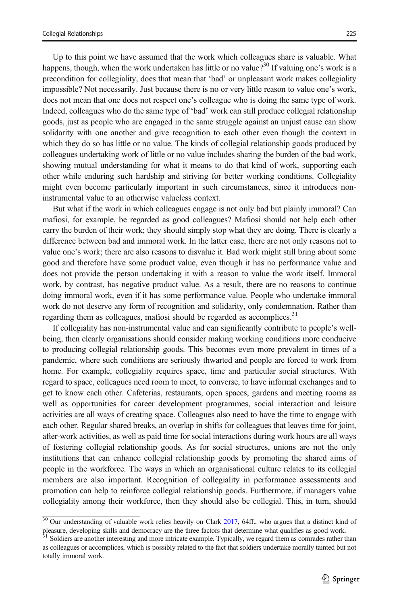Up to this point we have assumed that the work which colleagues share is valuable. What happens, though, when the work undertaken has little or no value?<sup>30</sup> If valuing one's work is a precondition for collegiality, does that mean that 'bad' or unpleasant work makes collegiality impossible? Not necessarily. Just because there is no or very little reason to value one's work, does not mean that one does not respect one's colleague who is doing the same type of work. Indeed, colleagues who do the same type of 'bad' work can still produce collegial relationship goods, just as people who are engaged in the same struggle against an unjust cause can show solidarity with one another and give recognition to each other even though the context in which they do so has little or no value. The kinds of collegial relationship goods produced by colleagues undertaking work of little or no value includes sharing the burden of the bad work, showing mutual understanding for what it means to do that kind of work, supporting each other while enduring such hardship and striving for better working conditions. Collegiality might even become particularly important in such circumstances, since it introduces noninstrumental value to an otherwise valueless context.

But what if the work in which colleagues engage is not only bad but plainly immoral? Can mafiosi, for example, be regarded as good colleagues? Mafiosi should not help each other carry the burden of their work; they should simply stop what they are doing. There is clearly a difference between bad and immoral work. In the latter case, there are not only reasons not to value one's work; there are also reasons to disvalue it. Bad work might still bring about some good and therefore have some product value, even though it has no performance value and does not provide the person undertaking it with a reason to value the work itself. Immoral work, by contrast, has negative product value. As a result, there are no reasons to continue doing immoral work, even if it has some performance value. People who undertake immoral work do not deserve any form of recognition and solidarity, only condemnation. Rather than regarding them as colleagues, mafiosi should be regarded as accomplices.<sup>31</sup>

If collegiality has non-instrumental value and can significantly contribute to people's wellbeing, then clearly organisations should consider making working conditions more conducive to producing collegial relationship goods. This becomes even more prevalent in times of a pandemic, where such conditions are seriously thwarted and people are forced to work from home. For example, collegiality requires space, time and particular social structures. With regard to space, colleagues need room to meet, to converse, to have informal exchanges and to get to know each other. Cafeterias, restaurants, open spaces, gardens and meeting rooms as well as opportunities for career development programmes, social interaction and leisure activities are all ways of creating space. Colleagues also need to have the time to engage with each other. Regular shared breaks, an overlap in shifts for colleagues that leaves time for joint, after-work activities, as well as paid time for social interactions during work hours are all ways of fostering collegial relationship goods. As for social structures, unions are not the only institutions that can enhance collegial relationship goods by promoting the shared aims of people in the workforce. The ways in which an organisational culture relates to its collegial members are also important. Recognition of collegiality in performance assessments and promotion can help to reinforce collegial relationship goods. Furthermore, if managers value collegiality among their workforce, then they should also be collegial. This, in turn, should

<sup>&</sup>lt;sup>30</sup> Our understanding of valuable work relies heavily on Clark [2017,](#page-15-0) 64ff., who argues that a distinct kind of pleasure, developing skills and democracy are the three factors that determine what qualifies as good work.

<sup>&</sup>lt;sup>31</sup> Soldiers are another interesting and more intricate example. Typically, we regard them as comrades rather than as colleagues or accomplices, which is possibly related to the fact that soldiers undertake morally tainted but not totally immoral work.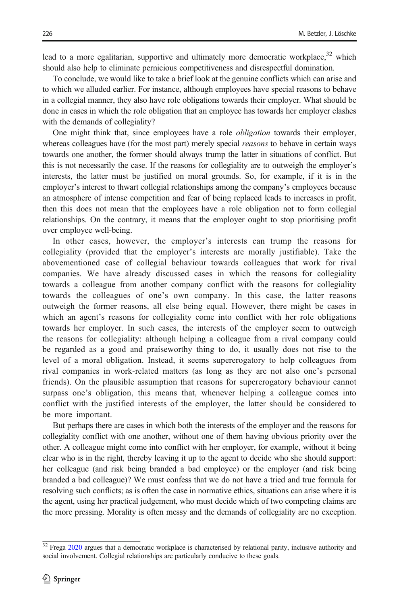lead to a more egalitarian, supportive and ultimately more democratic workplace,  $32$  which should also help to eliminate pernicious competitiveness and disrespectful domination.

To conclude, we would like to take a brief look at the genuine conflicts which can arise and to which we alluded earlier. For instance, although employees have special reasons to behave in a collegial manner, they also have role obligations towards their employer. What should be done in cases in which the role obligation that an employee has towards her employer clashes with the demands of collegiality?

One might think that, since employees have a role obligation towards their employer, whereas colleagues have (for the most part) merely special *reasons* to behave in certain ways towards one another, the former should always trump the latter in situations of conflict. But this is not necessarily the case. If the reasons for collegiality are to outweigh the employer's interests, the latter must be justified on moral grounds. So, for example, if it is in the employer's interest to thwart collegial relationships among the company's employees because an atmosphere of intense competition and fear of being replaced leads to increases in profit, then this does not mean that the employees have a role obligation not to form collegial relationships. On the contrary, it means that the employer ought to stop prioritising profit over employee well-being.

In other cases, however, the employer's interests can trump the reasons for collegiality (provided that the employer's interests are morally justifiable). Take the abovementioned case of collegial behaviour towards colleagues that work for rival companies. We have already discussed cases in which the reasons for collegiality towards a colleague from another company conflict with the reasons for collegiality towards the colleagues of one's own company. In this case, the latter reasons outweigh the former reasons, all else being equal. However, there might be cases in which an agent's reasons for collegiality come into conflict with her role obligations towards her employer. In such cases, the interests of the employer seem to outweigh the reasons for collegiality: although helping a colleague from a rival company could be regarded as a good and praiseworthy thing to do, it usually does not rise to the level of a moral obligation. Instead, it seems supererogatory to help colleagues from rival companies in work-related matters (as long as they are not also one's personal friends). On the plausible assumption that reasons for supererogatory behaviour cannot surpass one's obligation, this means that, whenever helping a colleague comes into conflict with the justified interests of the employer, the latter should be considered to be more important.

But perhaps there are cases in which both the interests of the employer and the reasons for collegiality conflict with one another, without one of them having obvious priority over the other. A colleague might come into conflict with her employer, for example, without it being clear who is in the right, thereby leaving it up to the agent to decide who she should support: her colleague (and risk being branded a bad employee) or the employer (and risk being branded a bad colleague)? We must confess that we do not have a tried and true formula for resolving such conflicts; as is often the case in normative ethics, situations can arise where it is the agent, using her practical judgement, who must decide which of two competing claims are the more pressing. Morality is often messy and the demands of collegiality are no exception.

<sup>&</sup>lt;sup>32</sup> Frega [2020](#page-15-0) argues that a democratic workplace is characterised by relational parity, inclusive authority and social involvement. Collegial relationships are particularly conducive to these goals.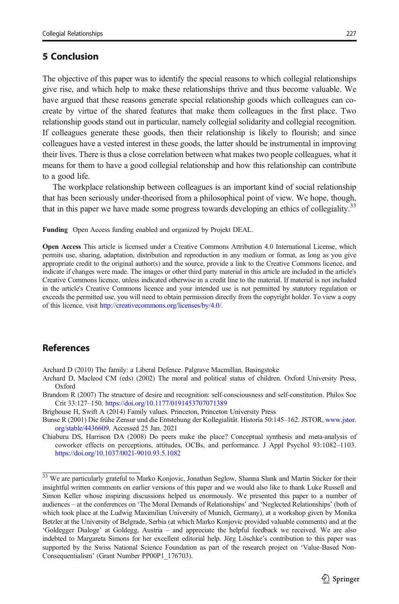## <span id="page-14-0"></span>5 Conclusion

The objective of this paper was to identify the special reasons to which collegial relationships give rise, and which help to make these relationships thrive and thus become valuable. We have argued that these reasons generate special relationship goods which colleagues can cocreate by virtue of the shared features that make them colleagues in the first place. Two relationship goods stand out in particular, namely collegial solidarity and collegial recognition. If colleagues generate these goods, then their relationship is likely to flourish; and since colleagues have a vested interest in these goods, the latter should be instrumental in improving their lives. There is thus a close correlation between what makes two people colleagues, what it means for them to have a good collegial relationship and how this relationship can contribute to a good life.

The workplace relationship between colleagues is an important kind of social relationship that has been seriously under-theorised from a philosophical point of view. We hope, though, that in this paper we have made some progress towards developing an ethics of collegiality.<sup>33</sup>

Funding Open Access funding enabled and organized by Projekt DEAL.

Open Access This article is licensed under a Creative Commons Attribution 4.0 International License, which permits use, sharing, adaptation, distribution and reproduction in any medium or format, as long as you give appropriate credit to the original author(s) and the source, provide a link to the Creative Commons licence, and indicate if changes were made. The images or other third party material in this article are included in the article's Creative Commons licence, unless indicated otherwise in a credit line to the material. If material is not included in the article's Creative Commons licence and your intended use is not permitted by statutory regulation or exceeds the permitted use, you will need to obtain permission directly from the copyright holder. To view a copy of this licence, visit [http://creativecommons.org/licenses/by/4.0/.](https://doi.org/)

#### References

Archard D (2010) The family: a Liberal Defence. Palgrave Macmillan, Basingstoke

- Archard D, Macleod CM (eds) (2002) The moral and political status of children. Oxford University Press, Oxford
- Brandom R (2007) The structure of desire and recognition: self-consciousness and self-constitution. Philos Soc Crit 33:127–150. <https://doi.org/10.1177/0191453707071389>
- Brighouse H, Swift A (2014) Family values. Princeton, Princeton University Press
- Bunse R (2001) Die frühe Zensur und die Entstehung der Kollegialität. Historia 50:145–162. JSTOR, [www.jstor.](http://www.jstor.org/stable/4436609) [org/stable/4436609.](http://www.jstor.org/stable/4436609) Accessed 25 Jan. 2021

Chiaburu DS, Harrison DA (2008) Do peers make the place? Conceptual synthesis and meta-analysis of coworker effects on perceptions, attitudes, OCBs, and performance. J Appl Psychol 93:1082–1103. <https://doi.org/10.1037/0021-9010.93.5.1082>

<sup>&</sup>lt;sup>33</sup> We are particularly grateful to Marko Konjovic, Jonathan Seglow, Shanna Slank and Martin Sticker for their insightful written comments on earlier versions of this paper and we would also like to thank Luke Russell and Simon Keller whose inspiring discussions helped us enormously. We presented this paper to a number of audiences – at the conferences on 'The Moral Demands of Relationships' and 'Neglected Relationships' (both of which took place at the Ludwig Maximilian University of Munich, Germany), at a workshop given by Monika Betzler at the University of Belgrade, Serbia (at which Marko Konjovic provided valuable comments) and at the 'Goldegger Dialoge' at Goldegg, Austria – and appreciate the helpful feedback we received. We are also indebted to Margareta Simons for her excellent editorial help. Jörg Löschke's contribution to this paper was supported by the Swiss National Science Foundation as part of the research project on 'Value-Based Non-Consequentialism' (Grant Number PP00P1\_176703).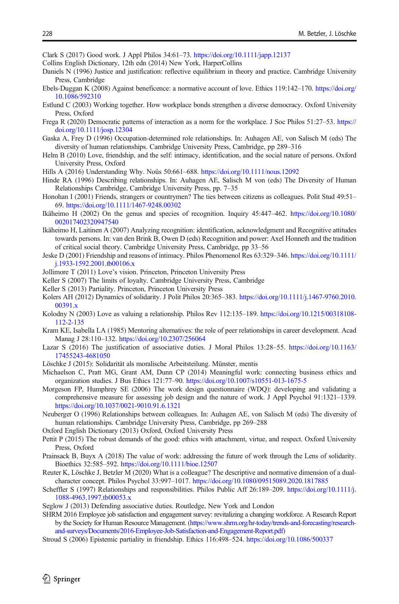<span id="page-15-0"></span>Clark S (2017) Good work. J Appl Philos 34:61–73. <https://doi.org/10.1111/japp.12137>

- Collins English Dictionary, 12th edn (2014) New York, HarperCollins
- Daniels N (1996) Justice and justification: reflective equilibrium in theory and practice. Cambridge University Press, Cambridge
- Ebels-Duggan K (2008) Against beneficence: a normative account of love. Ethics 119:142–170. [https://doi.org/](https://doi.org/10.1086/592310) [10.1086/592310](https://doi.org/10.1086/592310)
- Estlund C (2003) Working together. How workplace bonds strengthen a diverse democracy. Oxford University Press, Oxford
- Frega R (2020) Democratic patterns of interaction as a norm for the workplace. J Soc Philos 51:27–53. [https://](https://doi.org/10.1111/josp.12304) [doi.org/10.1111/josp.12304](https://doi.org/10.1111/josp.12304)
- Gaska A, Frey D (1996) Occupation-determined role relationships. In: Auhagen AE, von Salisch M (eds) The diversity of human relationships. Cambridge University Press, Cambridge, pp 289–316
- Helm B (2010) Love, friendship, and the self: intimacy, identification, and the social nature of persons. Oxford University Press, Oxford
- Hills A (2016) Understanding Why. Noûs 50:661–688. <https://doi.org/10.1111/nous.12092>
- Hinde RA (1996) Describing relationships. In: Auhagen AE, Salisch M von (eds) The Diversity of Human Relationships Cambridge, Cambridge University Press, pp. 7–35
- Honohan I (2001) Friends, strangers or countrymen? The ties between citizens as colleagues. Polit Stud 49:51– 69. <https://doi.org/10.1111/1467-9248.00302>
- Ikäheimo H (2002) On the genus and species of recognition. Inquiry 45:447–462. [https://doi.org/10.1080/](https://doi.org/10.1080/002017402320947540) [002017402320947540](https://doi.org/10.1080/002017402320947540)
- Ikäheimo H, Laitinen A (2007) Analyzing recognition: identification, acknowledgment and Recognitive attitudes towards persons. In: van den Brink B, Owen D (eds) Recognition and power: Axel Honneth and the tradition of critical social theory. Cambridge University Press, Cambridge, pp 33–56
- Jeske D (2001) Friendship and reasons of intimacy. Philos Phenomenol Res 63:329–346. [https://doi.org/10.1111/](https://doi.org/10.1111/j.1933-1592.2001.tb00106.x) [j.1933-1592.2001.tb00106.x](https://doi.org/10.1111/j.1933-1592.2001.tb00106.x)
- Jollimore T (2011) Love's vision. Princeton, Princeton University Press
- Keller S (2007) The limits of loyalty. Cambridge University Press, Cambridge
- Keller S (2013) Partiality. Princeton, Princeton University Press
- Kolers AH (2012) Dynamics of solidarity. J Polit Philos 20:365–383. [https://doi.org/10.1111/j.1467-9760.2010.](https://doi.org/10.1111/j.1467-9760.2010.00391.x) [00391.x](https://doi.org/10.1111/j.1467-9760.2010.00391.x)
- Kolodny N (2003) Love as valuing a relationship. Philos Rev 112:135–189. [https://doi.org/10.1215/00318108-](https://doi.org/10.1215/00318108-112-2-135) [112-2-135](https://doi.org/10.1215/00318108-112-2-135)
- Kram KE, Isabella LA (1985) Mentoring alternatives: the role of peer relationships in career development. Acad Manag J 28:110–132. <https://doi.org/10.2307/256064>
- Lazar S (2016) The justification of associative duties. J Moral Philos 13:28–55. [https://doi.org/10.1163/](https://doi.org/10.1163/17455243-4681050) [17455243-4681050](https://doi.org/10.1163/17455243-4681050)
- Löschke J (2015): Solidarität als moralische Arbeitsteilung. Münster, mentis
- Michaelson C, Pratt MG, Grant AM, Dunn CP (2014) Meaningful work: connecting business ethics and organization studies. J Bus Ethics 121:77–90. <https://doi.org/10.1007/s10551-013-1675-5>
- Morgeson FP, Humphrey SE (2006) The work design questionnaire (WDQ): developing and validating a comprehensive measure for assessing job design and the nature of work. J Appl Psychol 91:1321–1339. <https://doi.org/10.1037/0021-9010.91.6.1321>
- Neuberger O (1996) Relationships between colleagues. In: Auhagen AE, von Salisch M (eds) The diversity of human relationships. Cambridge University Press, Cambridge, pp 269–288
- Oxford English Dictionary (2013) Oxford, Oxford University Press
- Pettit P (2015) The robust demands of the good: ethics with attachment, virtue, and respect. Oxford University Press, Oxford
- Prainsack B, Buyx A (2018) The value of work: addressing the future of work through the Lens of solidarity. Bioethics 32:585–592. <https://doi.org/10.1111/bioe.12507>
- Reuter K, Löschke J, Betzler M (2020) What is a colleague? The descriptive and normative dimension of a dualcharacter concept. Philos Psychol 33:997–1017. <https://doi.org/10.1080/09515089.2020.1817885>
- Scheffler S (1997) Relationships and responsibilities. Philos Public Aff 26:189–209. [https://doi.org/10.1111/j.](https://doi.org/10.1111/j.1088-4963.1997.tb00053.x) [1088-4963.1997.tb00053.x](https://doi.org/10.1111/j.1088-4963.1997.tb00053.x)
- Seglow J (2013) Defending associative duties. Routledge, New York and London
- SHRM 2016 Employee job satisfaction and engagement survey: revitalizing a changing workforce. A Research Report by the Society for Human Resource Management. [\(https://www.shrm.org/hr-today/trends-and-forecasting/research](https://www.shrm.org/hr--today/trends--and--forecasting/research--and--surveys/Documents/2016--Employee--Job--Satisfaction--and--Engagement--Report.pdf)[and-surveys/Documents/2016-Employee-Job-Satisfaction-and-Engagement-Report.pdf\)](https://www.shrm.org/hr--today/trends--and--forecasting/research--and--surveys/Documents/2016--Employee--Job--Satisfaction--and--Engagement--Report.pdf)
- Stroud S (2006) Epistemic partiality in friendship. Ethics 116:498–524. <https://doi.org/10.1086/500337>